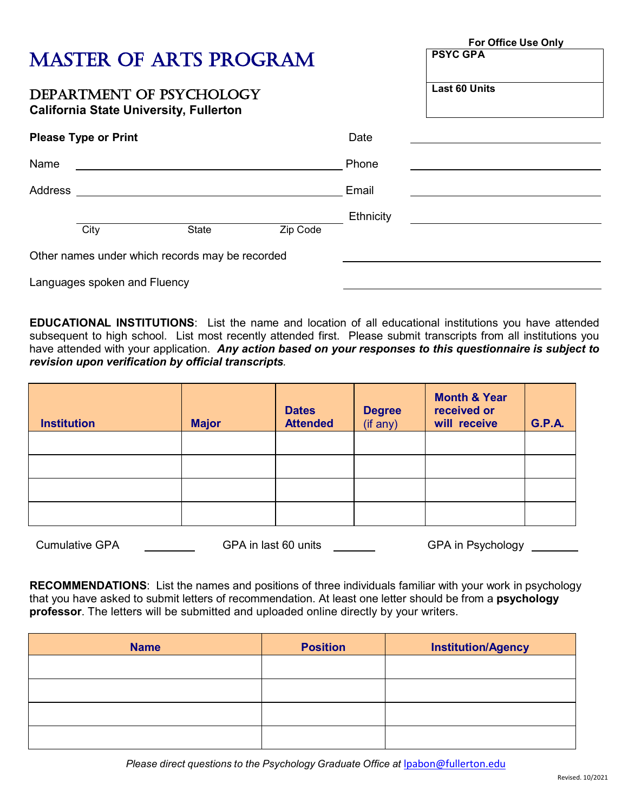|                                                                           |           | For Office Use Only  |
|---------------------------------------------------------------------------|-----------|----------------------|
| <b>MASTER OF ARTS PROGRAM</b>                                             |           | <b>PSYC GPA</b>      |
| DEPARTMENT OF PSYCHOLOGY<br><b>California State University, Fullerton</b> |           | <b>Last 60 Units</b> |
| <b>Please Type or Print</b>                                               | Date      |                      |
| Name                                                                      | Phone     |                      |
| Address                                                                   | Email     |                      |
|                                                                           | Ethnicity |                      |
| City<br>Zip Code<br><b>State</b>                                          |           |                      |
| Other names under which records may be recorded                           |           |                      |
| Languages spoken and Fluency                                              |           |                      |

**EDUCATIONAL INSTITUTIONS**: List the name and location of all educational institutions you have attended subsequent to high school. List most recently attended first. Please submit transcripts from all institutions you have attended with your application. *Any action based on your responses to this questionnaire is subject to revision upon verification by official transcripts.*

| <b>Institution</b> | <b>Major</b> | <b>Dates</b><br><b>Attended</b> | <b>Degree</b><br>(if any) | <b>Month &amp; Year</b><br>received or<br>will receive | <b>G.P.A.</b> |
|--------------------|--------------|---------------------------------|---------------------------|--------------------------------------------------------|---------------|
|                    |              |                                 |                           |                                                        |               |
|                    |              |                                 |                           |                                                        |               |
|                    |              |                                 |                           |                                                        |               |
|                    |              |                                 |                           |                                                        |               |

Cumulative GPA GERA GPA in last 60 units CERA in Psychology Cumulative GPA in Psychology

**RECOMMENDATIONS**: List the names and positions of three individuals familiar with your work in psychology that you have asked to submit letters of recommendation. At least one letter should be from a **psychology professor**. The letters will be submitted and uploaded online directly by your writers.

| <b>Name</b> | <b>Position</b> | <b>Institution/Agency</b> |
|-------------|-----------------|---------------------------|
|             |                 |                           |
|             |                 |                           |
|             |                 |                           |
|             |                 |                           |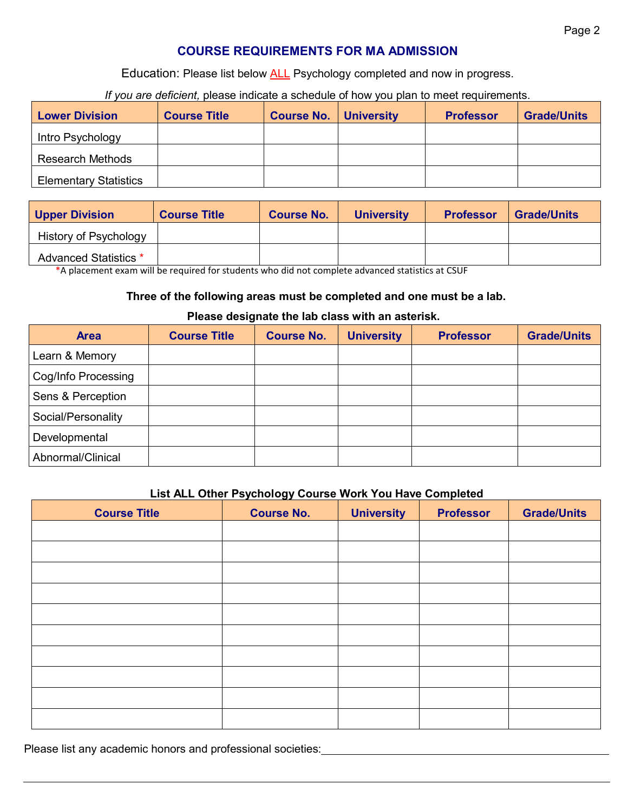# **COURSE REQUIREMENTS FOR MA ADMISSION**

Education: Please list below **ALL** Psychology completed and now in progress.

*If you are deficient,* please indicate a schedule of how you plan to meet requirements.

| <b>Lower Division</b>        | <b>Course Title</b> | <b>Course No.</b> | <b>University</b> | <b>Professor</b> | <b>Grade/Units</b> |
|------------------------------|---------------------|-------------------|-------------------|------------------|--------------------|
| Intro Psychology             |                     |                   |                   |                  |                    |
| <b>Research Methods</b>      |                     |                   |                   |                  |                    |
| <b>Elementary Statistics</b> |                     |                   |                   |                  |                    |

| <b>Upper Division</b> | <b>Course Title</b> | <b>Course No.</b> | <b>University</b> | <b>Professor</b> | <b>Grade/Units</b> |
|-----------------------|---------------------|-------------------|-------------------|------------------|--------------------|
| History of Psychology |                     |                   |                   |                  |                    |
| Advanced Statistics * |                     |                   |                   |                  |                    |

\*A placement exam will be required for students who did not complete advanced statistics at CSUF

## **Three of the following areas must be completed and one must be a lab.**

#### **Please designate the lab class with an asterisk.**

| <b>Area</b>         | <b>Course Title</b> | <b>Course No.</b> | <b>University</b> | <b>Professor</b> | <b>Grade/Units</b> |
|---------------------|---------------------|-------------------|-------------------|------------------|--------------------|
| Learn & Memory      |                     |                   |                   |                  |                    |
| Cog/Info Processing |                     |                   |                   |                  |                    |
| Sens & Perception   |                     |                   |                   |                  |                    |
| Social/Personality  |                     |                   |                   |                  |                    |
| Developmental       |                     |                   |                   |                  |                    |
| Abnormal/Clinical   |                     |                   |                   |                  |                    |

### **List ALL Other Psychology Course Work You Have Completed**

| <b>Course Title</b> | <b>Course No.</b> | <b>University</b> | <b>Professor</b> | <b>Grade/Units</b> |
|---------------------|-------------------|-------------------|------------------|--------------------|
|                     |                   |                   |                  |                    |
|                     |                   |                   |                  |                    |
|                     |                   |                   |                  |                    |
|                     |                   |                   |                  |                    |
|                     |                   |                   |                  |                    |
|                     |                   |                   |                  |                    |
|                     |                   |                   |                  |                    |
|                     |                   |                   |                  |                    |
|                     |                   |                   |                  |                    |
|                     |                   |                   |                  |                    |

Please list any academic honors and professional societies: